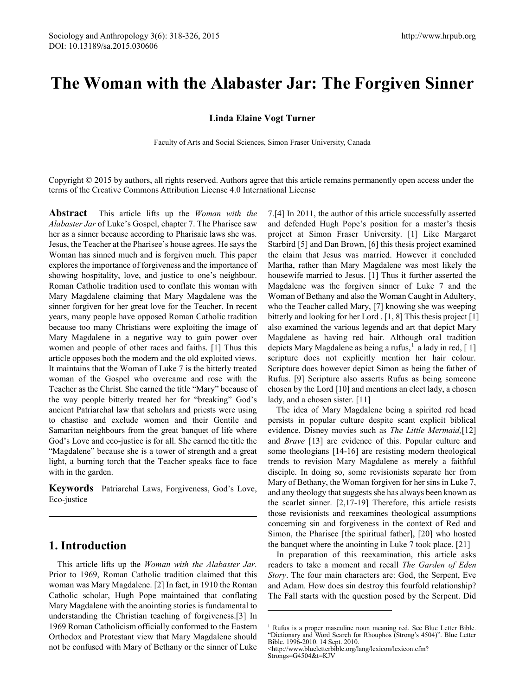# **The Woman with the Alabaster Jar: The Forgiven Sinner**

## **Linda Elaine Vogt Turner**

Faculty of Arts and Social Sciences, Simon Fraser University, Canada

Copyright © 2015 by authors, all rights reserved. Authors agree that this article remains permanently open access under the terms of the Creative Commons Attribution License 4.0 International License

**Abstract** This article lifts up the *Woman with the Alabaster Jar* of Luke's Gospel, chapter 7. The Pharisee saw her as a sinner because according to Pharisaic laws she was. Jesus, the Teacher at the Pharisee's house agrees. He says the Woman has sinned much and is forgiven much. This paper explores the importance of forgiveness and the importance of showing hospitality, love, and justice to one's neighbour. Roman Catholic tradition used to conflate this woman with Mary Magdalene claiming that Mary Magdalene was the sinner forgiven for her great love for the Teacher. In recent years, many people have opposed Roman Catholic tradition because too many Christians were exploiting the image of Mary Magdalene in a negative way to gain power over women and people of other races and faiths. [1] Thus this article opposes both the modern and the old exploited views. It maintains that the Woman of Luke 7 is the bitterly treated woman of the Gospel who overcame and rose with the Teacher as the Christ. She earned the title "Mary" because of the way people bitterly treated her for "breaking" God's ancient Patriarchal law that scholars and priests were using to chastise and exclude women and their Gentile and Samaritan neighbours from the great banquet of life where God's Love and eco-justice is for all. She earned the title the "Magdalene" because she is a tower of strength and a great light, a burning torch that the Teacher speaks face to face with in the garden.

**Keywords** Patriarchal Laws, Forgiveness, God's Love, Eco-justice

# **1. Introduction**

<span id="page-0-0"></span>This article lifts up the *Woman with the Alabaster Jar*. Prior to 1969, Roman Catholic tradition claimed that this woman was Mary Magdalene. [2] In fact, in 1910 the Roman Catholic scholar, Hugh Pope maintained that conflating Mary Magdalene with the anointing stories is fundamental to understanding the Christian teaching of forgiveness.[3] In 1969 Roman Catholicism officially conformed to the Eastern Orthodox and Protestant view that Mary Magdalene should not be confused with Mary of Bethany or the sinner of Luke

7.[4] In 2011, the author of this article successfully asserted and defended Hugh Pope's position for a master's thesis project at Simon Fraser University. [1] Like Margaret Starbird [5] and Dan Brown, [6] this thesis project examined the claim that Jesus was married. However it concluded Martha, rather than Mary Magdalene was most likely the housewife married to Jesus. [1] Thus it further asserted the Magdalene was the forgiven sinner of Luke 7 and the Woman of Bethany and also the Woman Caught in Adultery, who the Teacher called Mary, [7] knowing she was weeping bitterly and looking for her Lord . [1, 8] This thesis project [1] also examined the various legends and art that depict Mary Magdalene as having red hair. Although oral tradition depicts Mary Magdalene as being a rufus, $1$  a lady in red,  $[1]$ scripture does not explicitly mention her hair colour. Scripture does however depict Simon as being the father of Rufus. [9] Scripture also asserts Rufus as being someone chosen by the Lord [10] and mentions an elect lady, a chosen lady, and a chosen sister. [11]

The idea of Mary Magdalene being a spirited red head persists in popular culture despite scant explicit biblical evidence. Disney movies such as *The Little Mermaid,*[12] and *Brave* [13] are evidence of this. Popular culture and some theologians [14-16] are resisting modern theological trends to revision Mary Magdalene as merely a faithful disciple. In doing so, some revisionists separate her from Mary of Bethany, the Woman forgiven for her sins in Luke 7, and any theology that suggests she has always been known as the scarlet sinner. [2,17-19] Therefore, this article resists those revisionists and reexamines theological assumptions concerning sin and forgiveness in the context of Red and Simon, the Pharisee [the spiritual father], [20] who hosted the banquet where the anointing in Luke 7 took place. [21]

In preparation of this reexamination, this article asks readers to take a moment and recall *The Garden of Eden Story*. The four main characters are: God, the Serpent, Eve and Adam. How does sin destroy this fourfold relationship? The Fall starts with the question posed by the Serpent. Did

-

<sup>&</sup>lt;sup>1</sup> Rufus is a proper masculine noun meaning red. See Blue Letter Bible. "Dictionary and Word Search for Rhouphos (Strong's 4504)". Blue Letter Bible. 1996-2010. 14 Sept. 2010.

<sup>&</sup>lt;http://www.blueletterbible.org/lang/lexicon/lexicon.cfm? Strongs=G4504&t=KJV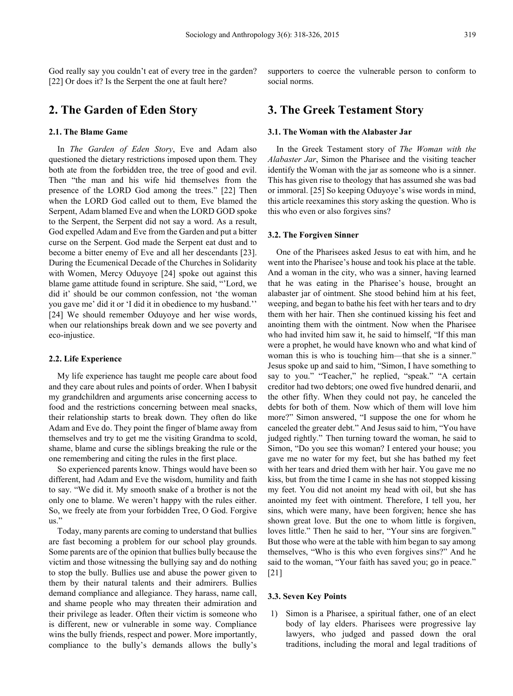God really say you couldn't eat of every tree in the garden? [22] Or does it? Is the Serpent the one at fault here?

# **2. The Garden of Eden Story**

## **2.1. The Blame Game**

In *The Garden of Eden Story*, Eve and Adam also questioned the dietary restrictions imposed upon them. They both ate from the forbidden tree, the tree of good and evil. Then "the man and his wife hid themselves from the presence of the LORD God among the trees." [22] Then when the LORD God called out to them, Eve blamed the Serpent, Adam blamed Eve and when the LORD GOD spoke to the Serpent, the Serpent did not say a word. As a result, God expelled Adam and Eve from the Garden and put a bitter curse on the Serpent. God made the Serpent eat dust and to become a bitter enemy of Eve and all her descendants [23]. During the Ecumenical Decade of the Churches in Solidarity with Women, Mercy Oduyoye [24] spoke out against this blame game attitude found in scripture. She said, "'Lord, we did it' should be our common confession, not 'the woman you gave me' did it or 'I did it in obedience to my husband.'' [24] We should remember Oduyoye and her wise words, when our relationships break down and we see poverty and eco-injustice.

#### **2.2. Life Experience**

My life experience has taught me people care about food and they care about rules and points of order. When I babysit my grandchildren and arguments arise concerning access to food and the restrictions concerning between meal snacks, their relationship starts to break down. They often do like Adam and Eve do. They point the finger of blame away from themselves and try to get me the visiting Grandma to scold, shame, blame and curse the siblings breaking the rule or the one remembering and citing the rules in the first place.

So experienced parents know. Things would have been so different, had Adam and Eve the wisdom, humility and faith to say. "We did it. My smooth snake of a brother is not the only one to blame. We weren't happy with the rules either. So, we freely ate from your forbidden Tree, O God. Forgive us."

Today, many parents are coming to understand that bullies are fast becoming a problem for our school play grounds. Some parents are of the opinion that bullies bully because the victim and those witnessing the bullying say and do nothing to stop the bully. Bullies use and abuse the power given to them by their natural talents and their admirers. Bullies demand compliance and allegiance. They harass, name call, and shame people who may threaten their admiration and their privilege as leader. Often their victim is someone who is different, new or vulnerable in some way. Compliance wins the bully friends, respect and power. More importantly, compliance to the bully's demands allows the bully's

supporters to coerce the vulnerable person to conform to social norms.

## **3. The Greek Testament Story**

## **3.1. The Woman with the Alabaster Jar**

In the Greek Testament story of *The Woman with the Alabaster Jar*, Simon the Pharisee and the visiting teacher identify the Woman with the jar as someone who is a sinner. This has given rise to theology that has assumed she was bad or immoral. [25] So keeping Oduyoye's wise words in mind, this article reexamines this story asking the question. Who is this who even or also forgives sins?

### **3.2. The Forgiven Sinner**

One of the Pharisees asked Jesus to eat with him, and he went into the Pharisee's house and took his place at the table. And a woman in the city, who was a sinner, having learned that he was eating in the Pharisee's house, brought an alabaster jar of ointment. She stood behind him at his feet, weeping, and began to bathe his feet with her tears and to dry them with her hair. Then she continued kissing his feet and anointing them with the ointment. Now when the Pharisee who had invited him saw it, he said to himself, "If this man were a prophet, he would have known who and what kind of woman this is who is touching him—that she is a sinner." Jesus spoke up and said to him, "Simon, I have something to say to you." "Teacher," he replied, "speak." "A certain creditor had two debtors; one owed five hundred denarii, and the other fifty. When they could not pay, he canceled the debts for both of them. Now which of them will love him more?" Simon answered, "I suppose the one for whom he canceled the greater debt." And Jesus said to him, "You have judged rightly." Then turning toward the woman, he said to Simon, "Do you see this woman? I entered your house; you gave me no water for my feet, but she has bathed my feet with her tears and dried them with her hair. You gave me no kiss, but from the time I came in she has not stopped kissing my feet. You did not anoint my head with oil, but she has anointed my feet with ointment. Therefore, I tell you, her sins, which were many, have been forgiven; hence she has shown great love. But the one to whom little is forgiven, loves little." Then he said to her, "Your sins are forgiven." But those who were at the table with him began to say among themselves, "Who is this who even forgives sins?" And he said to the woman, "Your faith has saved you; go in peace." [21]

## **3.3. Seven Key Points**

1) Simon is a Pharisee, a spiritual father, one of an elect body of lay elders. Pharisees were progressive lay lawyers, who judged and passed down the oral traditions, including the moral and legal traditions of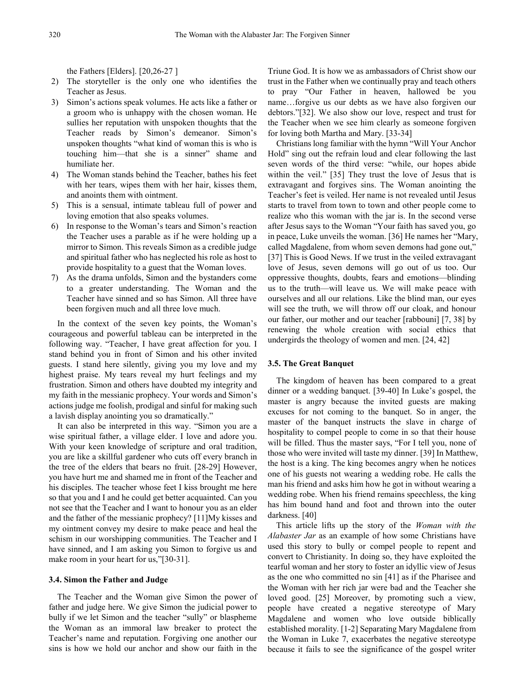the Fathers [Elders]. [20,26-27 ]

- 2) The storyteller is the only one who identifies the Teacher as Jesus.
- 3) Simon's actions speak volumes. He acts like a father or a groom who is unhappy with the chosen woman. He sullies her reputation with unspoken thoughts that the Teacher reads by Simon's demeanor. Simon's unspoken thoughts "what kind of woman this is who is touching him—that she is a sinner" shame and humiliate her.
- 4) The Woman stands behind the Teacher, bathes his feet with her tears, wipes them with her hair, kisses them, and anoints them with ointment.
- 5) This is a sensual, intimate tableau full of power and loving emotion that also speaks volumes.
- 6) In response to the Woman's tears and Simon's reaction the Teacher uses a parable as if he were holding up a mirror to Simon. This reveals Simon as a credible judge and spiritual father who has neglected his role as host to provide hospitality to a guest that the Woman loves.
- 7) As the drama unfolds, Simon and the bystanders come to a greater understanding. The Woman and the Teacher have sinned and so has Simon. All three have been forgiven much and all three love much.

In the context of the seven key points, the Woman's courageous and powerful tableau can be interpreted in the following way. "Teacher, I have great affection for you. I stand behind you in front of Simon and his other invited guests. I stand here silently, giving you my love and my highest praise. My tears reveal my hurt feelings and my frustration. Simon and others have doubted my integrity and my faith in the messianic prophecy. Your words and Simon's actions judge me foolish, prodigal and sinful for making such a lavish display anointing you so dramatically."

It can also be interpreted in this way. "Simon you are a wise spiritual father, a village elder. I love and adore you. With your keen knowledge of scripture and oral tradition, you are like a skillful gardener who cuts off every branch in the tree of the elders that bears no fruit. [28-29] However, you have hurt me and shamed me in front of the Teacher and his disciples. The teacher whose feet I kiss brought me here so that you and I and he could get better acquainted. Can you not see that the Teacher and I want to honour you as an elder and the father of the messianic prophecy? [11]My kisses and my ointment convey my desire to make peace and heal the schism in our worshipping communities. The Teacher and I have sinned, and I am asking you Simon to forgive us and make room in your heart for us,"[30-31].

#### **3.4. Simon the Father and Judge**

The Teacher and the Woman give Simon the power of father and judge here. We give Simon the judicial power to bully if we let Simon and the teacher "sully" or blaspheme the Woman as an immoral law breaker to protect the Teacher's name and reputation. Forgiving one another our sins is how we hold our anchor and show our faith in the

Triune God. It is how we as ambassadors of Christ show our trust in the Father when we continually pray and teach others to pray "Our Father in heaven, hallowed be you name…forgive us our debts as we have also forgiven our debtors."[32]. We also show our love, respect and trust for the Teacher when we see him clearly as someone forgiven for loving both Martha and Mary. [33-34]

Christians long familiar with the hymn "Will Your Anchor Hold" sing out the refrain loud and clear following the last seven words of the third verse: "while, our hopes abide within the veil." [35] They trust the love of Jesus that is extravagant and forgives sins. The Woman anointing the Teacher's feet is veiled. Her name is not revealed until Jesus starts to travel from town to town and other people come to realize who this woman with the jar is. In the second verse after Jesus says to the Woman "Your faith has saved you, go in peace, Luke unveils the woman. [36] He names her "Mary, called Magdalene, from whom seven demons had gone out," [37] This is Good News. If we trust in the veiled extravagant love of Jesus, seven demons will go out of us too. Our oppressive thoughts, doubts, fears and emotions—blinding us to the truth—will leave us. We will make peace with ourselves and all our relations. Like the blind man, our eyes will see the truth, we will throw off our cloak, and honour our father, our mother and our teacher [rabbouni] [7, 38] by renewing the whole creation with social ethics that undergirds the theology of women and men. [24, 42]

### **3.5. The Great Banquet**

The kingdom of heaven has been compared to a great dinner or a wedding banquet. [39-40] In Luke's gospel, the master is angry because the invited guests are making excuses for not coming to the banquet. So in anger, the master of the banquet instructs the slave in charge of hospitality to compel people to come in so that their house will be filled. Thus the master says, "For I tell you, none of those who were invited will taste my dinner. [39] In Matthew, the host is a king. The king becomes angry when he notices one of his guests not wearing a wedding robe. He calls the man his friend and asks him how he got in without wearing a wedding robe. When his friend remains speechless, the king has him bound hand and foot and thrown into the outer darkness. [40]

This article lifts up the story of the *Woman with the Alabaster Jar* as an example of how some Christians have used this story to bully or compel people to repent and convert to Christianity. In doing so, they have exploited the tearful woman and her story to foster an idyllic view of Jesus as the one who committed no sin [41] as if the Pharisee and the Woman with her rich jar were bad and the Teacher she loved good. [25] Moreover, by promoting such a view, people have created a negative stereotype of Mary Magdalene and women who love outside biblically established morality. [1-2] Separating Mary Magdalene from the Woman in Luke 7, exacerbates the negative stereotype because it fails to see the significance of the gospel writer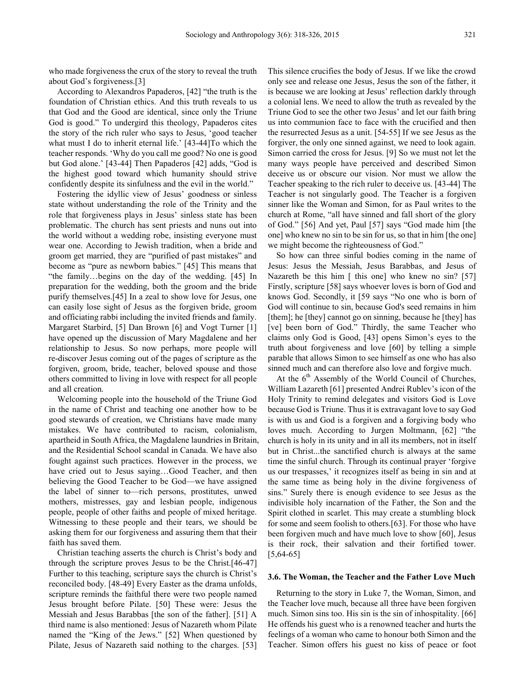who made forgiveness the crux of the story to reveal the truth about God's forgiveness.[3]

According to Alexandros Papaderos, [42] "the truth is the foundation of Christian ethics. And this truth reveals to us that God and the Good are identical, since only the Triune God is good." To undergird this theology, Papaderos cites the story of the rich ruler who says to Jesus, 'good teacher what must I do to inherit eternal life.' [43-44] To which the teacher responds. 'Why do you call me good? No one is good but God alone.' [43-44] Then Papaderos [42] adds, "God is the highest good toward which humanity should strive confidently despite its sinfulness and the evil in the world."

Fostering the idyllic view of Jesus' goodness or sinless state without understanding the role of the Trinity and the role that forgiveness plays in Jesus' sinless state has been problematic. The church has sent priests and nuns out into the world without a wedding robe, insisting everyone must wear one. According to Jewish tradition, when a bride and groom get married, they are "purified of past mistakes" and become as "pure as newborn babies." [45] This means that "the family…begins on the day of the wedding. [45] In preparation for the wedding, both the groom and the bride purify themselves.[45] In a zeal to show love for Jesus, one can easily lose sight of Jesus as the forgiven bride, groom and officiating rabbi including the invited friends and family. Margaret Starbird, [5] Dan Brown [6] and Vogt Turner [1] have opened up the discussion of Mary Magdalene and her relationship to Jesus. So now perhaps, more people will re-discover Jesus coming out of the pages of scripture as the forgiven, groom, bride, teacher, beloved spouse and those others committed to living in love with respect for all people and all creation.

Welcoming people into the household of the Triune God in the name of Christ and teaching one another how to be good stewards of creation, we Christians have made many mistakes. We have contributed to racism, colonialism, apartheid in South Africa, the Magdalene laundries in Britain, and the Residential School scandal in Canada. We have also fought against such practices. However in the process, we have cried out to Jesus saying…Good Teacher, and then believing the Good Teacher to be God—we have assigned the label of sinner to—rich persons, prostitutes, unwed mothers, mistresses, gay and lesbian people, indigenous people, people of other faiths and people of mixed heritage. Witnessing to these people and their tears, we should be asking them for our forgiveness and assuring them that their faith has saved them.

Christian teaching asserts the church is Christ's body and through the scripture proves Jesus to be the Christ.[46-47] Further to this teaching, scripture says the church is Christ's reconciled body. [48-49] Every Easter as the drama unfolds, scripture reminds the faithful there were two people named Jesus brought before Pilate. [50] These were: Jesus the Messiah and Jesus Barabbas [the son of the father]. [51] A third name is also mentioned: Jesus of Nazareth whom Pilate named the "King of the Jews." [52] When questioned by Pilate, Jesus of Nazareth said nothing to the charges. [53]

This silence crucifies the body of Jesus. If we like the crowd only see and release one Jesus, Jesus the son of the father, it is because we are looking at Jesus' reflection darkly through a colonial lens. We need to allow the truth as revealed by the Triune God to see the other two Jesus' and let our faith bring us into communion face to face with the crucified and then the resurrected Jesus as a unit. [54-55] If we see Jesus as the forgiver, the only one sinned against, we need to look again. Simon carried the cross for Jesus. [9] So we must not let the many ways people have perceived and described Simon deceive us or obscure our vision. Nor must we allow the Teacher speaking to the rich ruler to deceive us. [43-44] The Teacher is not singularly good. The Teacher is a forgiven sinner like the Woman and Simon, for as Paul writes to the church at Rome, "all have sinned and fall short of the glory of God." [56] And yet, Paul [57] says "God made him [the one] who knew no sin to be sin for us, so that in him [the one] we might become the righteousness of God."

So how can three sinful bodies coming in the name of Jesus: Jesus the Messiah, Jesus Barabbas, and Jesus of Nazareth be this him [ this one] who knew no sin? [57] Firstly, scripture [58] says whoever loves is born of God and knows God. Secondly, it [59 says "No one who is born of God will continue to sin, because God's seed remains in him [them]; he [they] cannot go on sinning, because he [they] has [ve] been born of God." Thirdly, the same Teacher who claims only God is Good, [43] opens Simon's eyes to the truth about forgiveness and love [60] by telling a simple parable that allows Simon to see himself as one who has also sinned much and can therefore also love and forgive much.

At the  $6<sup>th</sup>$  Assembly of the World Council of Churches, William Lazareth [61] presented Andrei Rublev's icon of the Holy Trinity to remind delegates and visitors God is Love because God is Triune. Thus it is extravagant love to say God is with us and God is a forgiven and a forgiving body who loves much. According to Jurgen Moltmann, [62] "the church is holy in its unity and in all its members, not in itself but in Christ...the sanctified church is always at the same time the sinful church. Through its continual prayer 'forgive us our trespasses,' it recognizes itself as being in sin and at the same time as being holy in the divine forgiveness of sins." Surely there is enough evidence to see Jesus as the indivisible holy incarnation of the Father, the Son and the Spirit clothed in scarlet. This may create a stumbling block for some and seem foolish to others.[63]. For those who have been forgiven much and have much love to show [60], Jesus is their rock, their salvation and their fortified tower. [5,64-65]

#### **3.6. The Woman, the Teacher and the Father Love Much**

Returning to the story in Luke 7, the Woman, Simon, and the Teacher love much, because all three have been forgiven much. Simon sins too. His sin is the sin of inhospitality. [66] He offends his guest who is a renowned teacher and hurts the feelings of a woman who came to honour both Simon and the Teacher. Simon offers his guest no kiss of peace or foot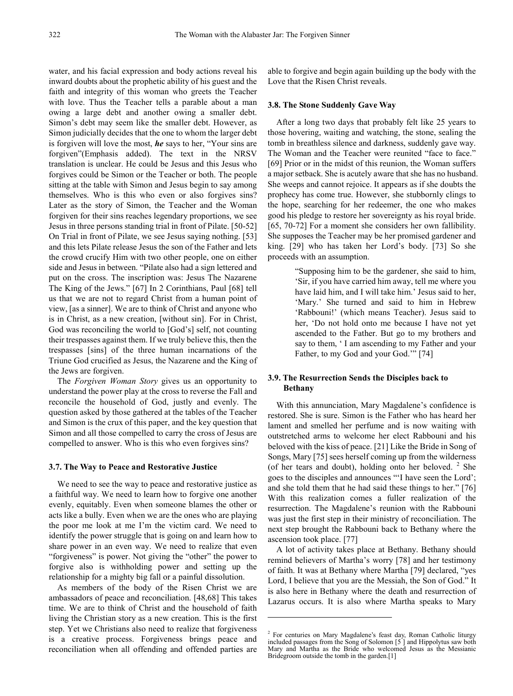water, and his facial expression and body actions reveal his inward doubts about the prophetic ability of his guest and the faith and integrity of this woman who greets the Teacher with love. Thus the Teacher tells a parable about a man owing a large debt and another owing a smaller debt. Simon's debt may seem like the smaller debt. However, as Simon judicially decides that the one to whom the larger debt is forgiven will love the most, *he* says to her, "Your sins are forgiven"(Emphasis added). The text in the NRSV translation is unclear. He could be Jesus and this Jesus who forgives could be Simon or the Teacher or both. The people sitting at the table with Simon and Jesus begin to say among themselves. Who is this who even or also forgives sins? Later as the story of Simon, the Teacher and the Woman forgiven for their sins reaches legendary proportions, we see Jesus in three persons standing trial in front of Pilate. [50-52] On Trial in front of Pilate, we see Jesus saying nothing. [53] and this lets Pilate release Jesus the son of the Father and lets the crowd crucify Him with two other people, one on either side and Jesus in between. "Pilate also had a sign lettered and put on the cross. The inscription was: Jesus The Nazarene The King of the Jews." [67] In 2 Corinthians, Paul [68] tell us that we are not to regard Christ from a human point of view, [as a sinner]. We are to think of Christ and anyone who is in Christ, as a new creation, [without sin]. For in Christ, God was reconciling the world to [God's] self, not counting their trespasses against them. If we truly believe this, then the trespasses [sins] of the three human incarnations of the Triune God crucified as Jesus, the Nazarene and the King of the Jews are forgiven.

The *Forgiven Woman Story* gives us an opportunity to understand the power play at the cross to reverse the Fall and reconcile the household of God, justly and evenly. The question asked by those gathered at the tables of the Teacher and Simon is the crux of this paper, and the key question that Simon and all those compelled to carry the cross of Jesus are compelled to answer. Who is this who even forgives sins?

#### **3.7. The Way to Peace and Restorative Justice**

We need to see the way to peace and restorative justice as a faithful way. We need to learn how to forgive one another evenly, equitably. Even when someone blames the other or acts like a bully. Even when we are the ones who are playing the poor me look at me I'm the victim card. We need to identify the power struggle that is going on and learn how to share power in an even way. We need to realize that even "forgiveness" is power. Not giving the "other" the power to forgive also is withholding power and setting up the relationship for a mighty big fall or a painful dissolution.

<span id="page-4-0"></span>As members of the body of the Risen Christ we are ambassadors of peace and reconciliation. [48,68] This takes time. We are to think of Christ and the household of faith living the Christian story as a new creation. This is the first step. Yet we Christians also need to realize that forgiveness is a creative process. Forgiveness brings peace and reconciliation when all offending and offended parties are

able to forgive and begin again building up the body with the Love that the Risen Christ reveals.

#### **3.8. The Stone Suddenly Gave Way**

After a long two days that probably felt like 25 years to those hovering, waiting and watching, the stone, sealing the tomb in breathless silence and darkness, suddenly gave way. The Woman and the Teacher were reunited "face to face." [69] Prior or in the midst of this reunion, the Woman suffers a major setback. She is acutely aware that she has no husband. She weeps and cannot rejoice. It appears as if she doubts the prophecy has come true. However, she stubbornly clings to the hope, searching for her redeemer, the one who makes good his pledge to restore her sovereignty as his royal bride. [65, 70-72] For a moment she considers her own fallibility. She supposes the Teacher may be her promised gardener and king. [29] who has taken her Lord's body. [73] So she proceeds with an assumption.

> "Supposing him to be the gardener, she said to him, 'Sir, if you have carried him away, tell me where you have laid him, and I will take him.' Jesus said to her, 'Mary.' She turned and said to him in Hebrew 'Rabbouni!' (which means Teacher). Jesus said to her, 'Do not hold onto me because I have not yet ascended to the Father. But go to my brothers and say to them, ' I am ascending to my Father and your Father, to my God and your God.'" [74]

## **3.9. The Resurrection Sends the Disciples back to Bethany**

With this annunciation, Mary Magdalene's confidence is restored. She is sure. Simon is the Father who has heard her lament and smelled her perfume and is now waiting with outstretched arms to welcome her elect Rabbouni and his beloved with the kiss of peace. [21] Like the Bride in Song of Songs, Mary [75] sees herself coming up from the wilderness (of her tears and doubt), holding onto her beloved.  $2$  She goes to the disciples and announces "'I have seen the Lord'; and she told them that he had said these things to her." [76] With this realization comes a fuller realization of the resurrection. The Magdalene's reunion with the Rabbouni was just the first step in their ministry of reconciliation. The next step brought the Rabbouni back to Bethany where the ascension took place. [77]

A lot of activity takes place at Bethany. Bethany should remind believers of Martha's worry [78] and her testimony of faith. It was at Bethany where Martha [79] declared, "yes Lord, I believe that you are the Messiah, the Son of God." It is also here in Bethany where the death and resurrection of Lazarus occurs. It is also where Martha speaks to Mary

-

<sup>2</sup> For centuries on Mary Magdalene's feast day, Roman Catholic liturgy included passages from the Song of Solomon [5 ] and Hippolytus saw both Mary and Martha as the Bride who welcomed Jesus as the Messianic Bridegroom outside the tomb in the garden.[1]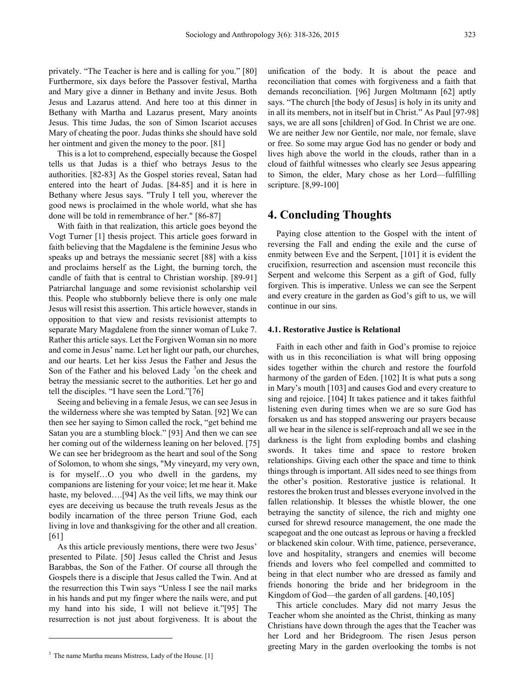privately. "The Teacher is here and is calling for you." [80] Furthermore, six days before the Passover festival, Martha and Mary give a dinner in Bethany and invite Jesus. Both Jesus and Lazarus attend. And here too at this dinner in Bethany with Martha and Lazarus present, Mary anoints Jesus. This time Judas, the son of Simon Iscariot accuses Mary of cheating the poor. Judas thinks she should have sold her ointment and given the money to the poor. [81]

This is a lot to comprehend, especially because the Gospel tells us that Judas is a thief who betrays Jesus to the authorities. [82-83] As the Gospel stories reveal, Satan had entered into the heart of Judas. [84-85] and it is here in Bethany where Jesus says. "Truly I tell you, wherever the good news is proclaimed in the whole world, what she has done will be told in remembrance of her." [86-87]

With faith in that realization, this article goes beyond the Vogt Turner [1] thesis project. This article goes forward in faith believing that the Magdalene is the feminine Jesus who speaks up and betrays the messianic secret [88] with a kiss and proclaims herself as the Light, the burning torch, the candle of faith that is central to Christian worship. [89-91] Patriarchal language and some revisionist scholarship veil this. People who stubbornly believe there is only one male Jesus will resist this assertion. This article however, stands in opposition to that view and resists revisionist attempts to separate Mary Magdalene from the sinner woman of Luke 7. Rather this article says. Let the Forgiven Woman sin no more and come in Jesus' name. Let her light our path, our churches, and our hearts. Let her kiss Jesus the Father and Jesus the Son of the Father and his beloved Lady <sup>[3](#page-5-0)</sup>on the cheek and betray the messianic secret to the authorities. Let her go and tell the disciples. "I have seen the Lord."[76]

Seeing and believing in a female Jesus, we can see Jesus in the wilderness where she was tempted by Satan. [92] We can then see her saying to Simon called the rock, "get behind me Satan you are a stumbling block." [93] And then we can see her coming out of the wilderness leaning on her beloved. [75] We can see her bridegroom as the heart and soul of the Song of Solomon, to whom she sings, "My vineyard, my very own, is for myself…O you who dwell in the gardens, my companions are listening for your voice; let me hear it. Make haste, my beloved....[94] As the veil lifts, we may think our eyes are deceiving us because the truth reveals Jesus as the bodily incarnation of the three person Triune God, each living in love and thanksgiving for the other and all creation. [61]

As this article previously mentions, there were two Jesus' presented to Pilate. [50] Jesus called the Christ and Jesus Barabbas, the Son of the Father. Of course all through the Gospels there is a disciple that Jesus called the Twin. And at the resurrection this Twin says "Unless I see the nail marks in his hands and put my finger where the nails were, and put my hand into his side, I will not believe it."[95] The resurrection is not just about forgiveness. It is about the

-

unification of the body. It is about the peace and reconciliation that comes with forgiveness and a faith that demands reconciliation. [96] Jurgen Moltmann [62] aptly says. "The church [the body of Jesus] is holy in its unity and in all its members, not in itself but in Christ." As Paul [97-98] says, we are all sons [children] of God. In Christ we are one. We are neither Jew nor Gentile, nor male, nor female, slave or free. So some may argue God has no gender or body and lives high above the world in the clouds, rather than in a cloud of faithful witnesses who clearly see Jesus appearing to Simon, the elder, Mary chose as her Lord—fulfilling scripture. [8,99-100]

# **4. Concluding Thoughts**

Paying close attention to the Gospel with the intent of reversing the Fall and ending the exile and the curse of enmity between Eve and the Serpent, [101] it is evident the crucifixion, resurrection and ascension must reconcile this Serpent and welcome this Serpent as a gift of God, fully forgiven. This is imperative. Unless we can see the Serpent and every creature in the garden as God's gift to us, we will continue in our sins.

#### **4.1. Restorative Justice is Relational**

Faith in each other and faith in God's promise to rejoice with us in this reconciliation is what will bring opposing sides together within the church and restore the fourfold harmony of the garden of Eden. [102] It is what puts a song in Mary's mouth [103] and causes God and every creature to sing and rejoice. [104] It takes patience and it takes faithful listening even during times when we are so sure God has forsaken us and has stopped answering our prayers because all we hear in the silence is self-reproach and all we see in the darkness is the light from exploding bombs and clashing swords. It takes time and space to restore broken relationships. Giving each other the space and time to think things through is important. All sides need to see things from the other's position. Restorative justice is relational. It restores the broken trust and blesses everyone involved in the fallen relationship. It blesses the whistle blower, the one betraying the sanctity of silence, the rich and mighty one cursed for shrewd resource management, the one made the scapegoat and the one outcast as leprous or having a freckled or blackened skin colour. With time, patience, perseverance, love and hospitality, strangers and enemies will become friends and lovers who feel compelled and committed to being in that elect number who are dressed as family and friends honoring the bride and her bridegroom in the Kingdom of God—the garden of all gardens. [40,105]

This article concludes. Mary did not marry Jesus the Teacher whom she anointed as the Christ, thinking as many Christians have down through the ages that the Teacher was her Lord and her Bridegroom. The risen Jesus person greeting Mary in the garden overlooking the tombs is not

<span id="page-5-0"></span><sup>&</sup>lt;sup>3</sup> The name Martha means Mistress, Lady of the House. [1]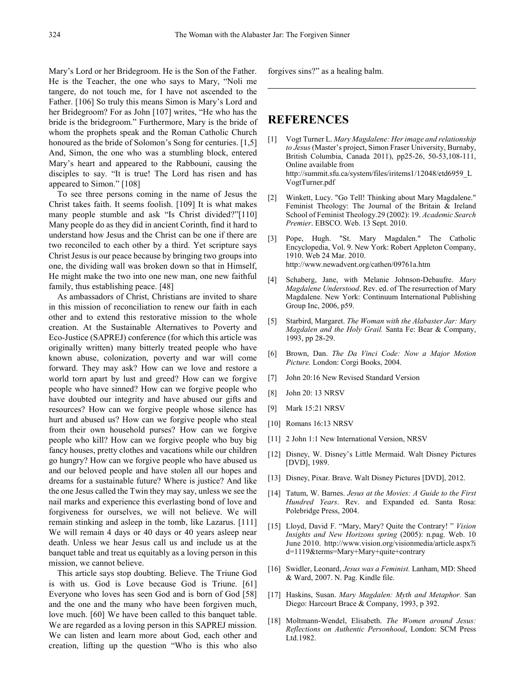Mary's Lord or her Bridegroom. He is the Son of the Father. He is the Teacher, the one who says to Mary, "Noli me tangere, do not touch me, for I have not ascended to the Father. [106] So truly this means Simon is Mary's Lord and her Bridegroom? For as John [107] writes, "He who has the bride is the bridegroom." Furthermore, Mary is the bride of whom the prophets speak and the Roman Catholic Church honoured as the bride of Solomon's Song for centuries. [1,5] And, Simon, the one who was a stumbling block, entered Mary's heart and appeared to the Rabbouni, causing the disciples to say. "It is true! The Lord has risen and has appeared to Simon." [108]

To see three persons coming in the name of Jesus the Christ takes faith. It seems foolish. [109] It is what makes many people stumble and ask "Is Christ divided?"[110] Many people do as they did in ancient Corinth, find it hard to understand how Jesus and the Christ can be one if there are two reconciled to each other by a third. Yet scripture says Christ Jesus is our peace because by bringing two groups into one, the dividing wall was broken down so that in Himself, He might make the two into one new man, one new faithful family, thus establishing peace. [48]

As ambassadors of Christ, Christians are invited to share in this mission of reconciliation to renew our faith in each other and to extend this restorative mission to the whole creation. At the Sustainable Alternatives to Poverty and Eco-Justice (SAPREJ) conference (for which this article was originally written) many bitterly treated people who have known abuse, colonization, poverty and war will come forward. They may ask? How can we love and restore a world torn apart by lust and greed? How can we forgive people who have sinned? How can we forgive people who have doubted our integrity and have abused our gifts and resources? How can we forgive people whose silence has hurt and abused us? How can we forgive people who steal from their own household purses? How can we forgive people who kill? How can we forgive people who buy big fancy houses, pretty clothes and vacations while our children go hungry? How can we forgive people who have abused us and our beloved people and have stolen all our hopes and dreams for a sustainable future? Where is justice? And like the one Jesus called the Twin they may say, unless we see the nail marks and experience this everlasting bond of love and forgiveness for ourselves, we will not believe. We will remain stinking and asleep in the tomb, like Lazarus. [111] We will remain 4 days or 40 days or 40 years asleep near death. Unless we hear Jesus call us and include us at the banquet table and treat us equitably as a loving person in this mission, we cannot believe.

This article says stop doubting. Believe. The Triune God is with us. God is Love because God is Triune. [61] Everyone who loves has seen God and is born of God [58] and the one and the many who have been forgiven much, love much. [60] We have been called to this banquet table. We are regarded as a loving person in this SAPREJ mission. We can listen and learn more about God, each other and creation, lifting up the question "Who is this who also

forgives sins?" as a healing balm.

# **REFERENCES**

- [1] Vogt Turner L. *Mary Magdalene: Her image and relationship to Jesus* (Master's project, Simon Fraser University, Burnaby, British Columbia, Canada 2011), pp25-26, 50-53,108-111, Online available from http://summit.sfu.ca/system/files/iritems1/12048/etd6959\_L VogtTurner.pdf
- [2] Winkett, Lucy. "Go Tell! Thinking about Mary Magdalene." Feminist Theology: The Journal of the Britain & Ireland School of Feminist Theology.29 (2002): 19. *Academic Search Premier*. EBSCO. Web. 13 Sept. 2010.
- [3] Pope, Hugh. "St. Mary Magdalen." The Catholic Encyclopedia, Vol. 9. New York: Robert Appleton Company, 1910. Web 24 Mar. 2010. http://www.newadvent.org/cathen/09761a.htm
- [4] Schaberg, Jane, with Melanie Johnson-Debaufre. *Mary Magdalene Understood*. Rev. ed. of The resurrection of Mary Magdalene. New York: Continuum International Publishing Group Inc, 2006, p59.
- [5] Starbird, Margaret. *The Woman with the Alabaster Jar: Mary Magdalen and the Holy Grail.* Santa Fe: Bear & Company, 1993, pp 28-29.
- [6] Brown, Dan. *The Da Vinci Code: Now a Major Motion Picture.* London: Corgi Books, 2004.
- [7] John 20:16 New Revised Standard Version
- [8] John 20: 13 NRSV
- [9] Mark 15:21 NRSV
- [10] Romans 16:13 NRSV
- [11] 2 John 1:1 New International Version, NRSV
- [12] Disney, W. Disney's Little Mermaid. Walt Disney Pictures [DVD], 1989.
- [13] Disney, Pixar. Brave. Walt Disney Pictures [DVD], 2012.
- [14] Tatum, W. Barnes. *Jesus at the Movies: A Guide to the First Hundred Years*. Rev. and Expanded ed. Santa Rosa: Polebridge Press, 2004.
- [15] Lloyd, David F. "Mary, Mary? Quite the Contrary! " *Vision Insights and New Horizons spring* (2005): n.pag. Web. 10 June 2010. http://www.vision.org/visionmedia/article.aspx?i d=1119&terms=Mary+Mary+quite+contrary
- [16] Swidler, Leonard, *Jesus was a Feminist.* Lanham, MD: Sheed & Ward, 2007. N. Pag. Kindle file.
- [17] Haskins, Susan. *Mary Magdalen: Myth and Metaphor.* San Diego: Harcourt Brace & Company, 1993, p 392.
- [18] Moltmann-Wendel, Elisabeth. *The Women around Jesus: Reflections on Authentic Personhood*, London: SCM Press Ltd.1982.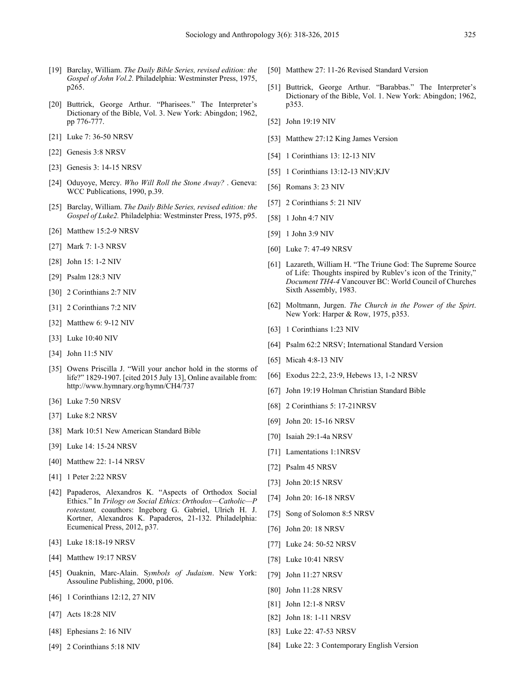- [19] Barclay, William. *The Daily Bible Series, revised edition: the Gospel of John Vol.2.* Philadelphia: Westminster Press, 1975, p265.
- [20] Buttrick, George Arthur. "Pharisees." The Interpreter's Dictionary of the Bible, Vol. 3. New York: Abingdon; 1962, pp 776-777.
- [21] Luke 7: 36-50 NRSV
- [22] Genesis 3:8 NRSV
- [23] Genesis 3: 14-15 NRSV
- [24] Oduyoye, Mercy. *Who Will Roll the Stone Away?* . Geneva: WCC Publications, 1990, p.39.
- [25] Barclay, William. *The Daily Bible Series, revised edition: the Gospel of Luke2.* Philadelphia: Westminster Press, 1975, p95.
- [26] Matthew 15:2-9 NRSV
- [27] Mark 7: 1-3 NRSV
- [28] John 15: 1-2 NIV
- [29] Psalm 128:3 NIV
- [30] 2 Corinthians 2:7 NIV
- [31] 2 Corinthians 7:2 NIV
- [32] Matthew 6: 9-12 NIV
- [33] Luke 10:40 NIV
- [34] John 11:5 NIV
- [35] Owens Priscilla J. "Will your anchor hold in the storms of life?" 1829-1907. [cited 2015 July 13], Online available from: http://www.hymnary.org/hymn/CH4/737
- [36] Luke 7:50 NRSV
- [37] Luke 8:2 NRSV
- [38] Mark 10:51 New American Standard Bible
- [39] Luke 14: 15-24 NRSV
- [40] Matthew 22: 1-14 NRSV
- [41] 1 Peter 2:22 NRSV
- [42] Papaderos, Alexandros K. "Aspects of Orthodox Social Ethics." In *Trilogy on Social Ethics:Orthodox—Catholic—P rotestant,* coauthors: Ingeborg G. Gabriel, Ulrich H. J. Kortner, Alexandros K. Papaderos, 21-132. Philadelphia: Ecumenical Press, 2012, p37.
- [43] Luke 18:18-19 NRSV
- [44] Matthew 19:17 NRSV
- [45] Ouaknin, Marc-Alain. S*ymbols of Judaism*. New York: Assouline Publishing, 2000, p106.
- [46] 1 Corinthians 12:12, 27 NIV
- [47] Acts 18:28 NIV
- [48] Ephesians 2: 16 NIV
- [49] 2 Corinthians 5:18 NIV
- [50] Matthew 27: 11-26 Revised Standard Version
- [51] Buttrick, George Arthur. "Barabbas." The Interpreter's Dictionary of the Bible, Vol. 1. New York: Abingdon; 1962, p353.
- [52] John 19:19 NIV
- [53] Matthew 27:12 King James Version
- [54] 1 Corinthians 13: 12-13 NIV
- [55] 1 Corinthians 13:12-13 NIV;KJV
- [56] Romans 3: 23 NIV
- [57] 2 Corinthians 5: 21 NIV
- [58] 1 John 4:7 NIV
- [59] 1 John 3:9 NIV
- [60] Luke 7: 47-49 NRSV
- [61] Lazareth, William H. "The Triune God: The Supreme Source of Life: Thoughts inspired by Rublev's icon of the Trinity," *Document TH4-4* Vancouver BC: World Council of Churches Sixth Assembly, 1983.
- [62] Moltmann, Jurgen. *The Church in the Power of the Spirt*. New York: Harper & Row, 1975, p353.
- [63] 1 Corinthians 1:23 NIV
- [64] Psalm 62:2 NRSV; International Standard Version
- [65] Micah 4:8-13 NIV
- [66] Exodus 22:2, 23:9, Hebews 13, 1-2 NRSV
- [67] John 19:19 Holman Christian Standard Bible
- [68] 2 Corinthians 5: 17-21NRSV
- [69] John 20: 15-16 NRSV
- [70] Isaiah 29:1-4a NRSV
- [71] Lamentations 1:1NRSV
- [72] Psalm 45 NRSV
- [73] John 20:15 NRSV
- [74] John 20: 16-18 NRSV
- [75] Song of Solomon 8:5 NRSV
- [76] John 20: 18 NRSV
- [77] Luke 24: 50-52 NRSV
- [78] Luke 10:41 NRSV
- [79] John 11:27 NRSV
- [80] John 11:28 NRSV
- [81] John 12:1-8 NRSV
- [82] John 18: 1-11 NRSV
- [83] Luke 22: 47-53 NRSV
- [84] Luke 22: 3 Contemporary English Version